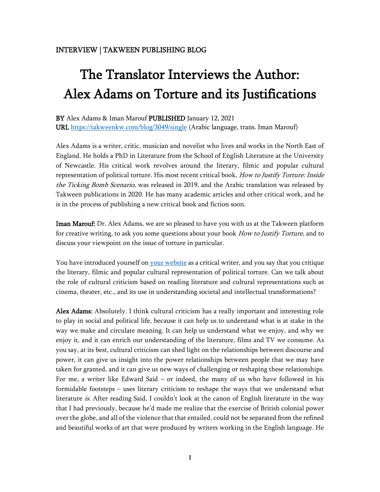## The Translator Interviews the Author: Alex Adams on Torture and its Justifications

BY Alex Adams & Iman Marouf PUBLISHED January 12, 2021 URL<https://takweenkw.com/blog/3049/single> (Arabic language, trans. Iman Marouf)

Alex Adams is a writer, critic, musician and novelist who lives and works in the North East of England. He holds a PhD in Literature from the School of English Literature at the University of Newcastle. His critical work revolves around the literary, filmic and popular cultural representation of political torture. His most recent critical book, How to Justify Torture: Inside the Ticking Bomb Scenario, was released in 2019, and the Arabic translation was released by Takween publications in 2020. He has many academic articles and other critical work, and he is in the process of publishing a new critical book and fiction soon.

Iman Marouf: Dr. Alex Adams, we are so pleased to have you with us at the Takween platform for creative writing, to ask you some questions about your book *How to Justify Torture*, and to discuss your viewpoint on the issue of torture in particular.

You have introduced yourself on [your website](https://www.atadamswriting.com/) as a critical writer, and you say that you critique the literary, filmic and popular cultural representation of political torture. Can we talk about the role of cultural criticism based on reading literature and cultural representations such as cinema, theater, etc., and its use in understanding societal and intellectual transformations?

Alex Adams: Absolutely. I think cultural criticism has a really important and interesting role to play in social and political life, because it can help us to understand what is at stake in the way we make and circulate meaning. It can help us understand what we enjoy, and why we enjoy it, and it can enrich our understanding of the literature, films and TV we consume. As you say, at its best, cultural criticism can shed light on the relationships between discourse and power, it can give us insight into the power relationships between people that we may have taken for granted, and it can give us new ways of challenging or reshaping these relationships. For me, a writer like Edward Said – or indeed, the many of us who have followed in his formidable footsteps – uses literary criticism to reshape the ways that we understand what literature *is*. After reading Said, I couldn't look at the canon of English literature in the way that I had previously, because he'd made me realize that the exercise of British colonial power over the globe, and all of the violence that that entailed, could not be separated from the refined and beautiful works of art that were produced by writers working in the English language. He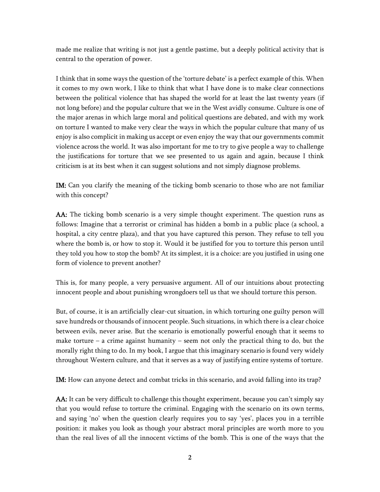made me realize that writing is not just a gentle pastime, but a deeply political activity that is central to the operation of power.

I think that in some ways the question of the 'torture debate' is a perfect example of this. When it comes to my own work, I like to think that what I have done is to make clear connections between the political violence that has shaped the world for at least the last twenty years (if not long before) and the popular culture that we in the West avidly consume. Culture is one of the major arenas in which large moral and political questions are debated, and with my work on torture I wanted to make very clear the ways in which the popular culture that many of us enjoy is also complicit in making us accept or even enjoy the way that our governments commit violence across the world. It was also important for me to try to give people a way to challenge the justifications for torture that we see presented to us again and again, because I think criticism is at its best when it can suggest solutions and not simply diagnose problems.

IM: Can you clarify the meaning of the ticking bomb scenario to those who are not familiar with this concept?

AA: The ticking bomb scenario is a very simple thought experiment. The question runs as follows: Imagine that a terrorist or criminal has hidden a bomb in a public place (a school, a hospital, a city centre plaza), and that you have captured this person. They refuse to tell you where the bomb is, or how to stop it. Would it be justified for you to torture this person until they told you how to stop the bomb? At its simplest, it is a choice: are you justified in using one form of violence to prevent another?

This is, for many people, a very persuasive argument. All of our intuitions about protecting innocent people and about punishing wrongdoers tell us that we should torture this person.

But, of course, it is an artificially clear-cut situation, in which torturing one guilty person will save hundreds or thousands of innocent people. Such situations, in which there is a clear choice between evils, never arise. But the scenario is emotionally powerful enough that it seems to make torture – a crime against humanity – seem not only the practical thing to do, but the morally right thing to do. In my book, I argue that this imaginary scenario is found very widely throughout Western culture, and that it serves as a way of justifying entire systems of torture.

IM: How can anyone detect and combat tricks in this scenario, and avoid falling into its trap?

AA: It can be very difficult to challenge this thought experiment, because you can't simply say that you would refuse to torture the criminal. Engaging with the scenario on its own terms, and saying 'no' when the question clearly requires you to say 'yes', places you in a terrible position: it makes you look as though your abstract moral principles are worth more to you than the real lives of all the innocent victims of the bomb. This is one of the ways that the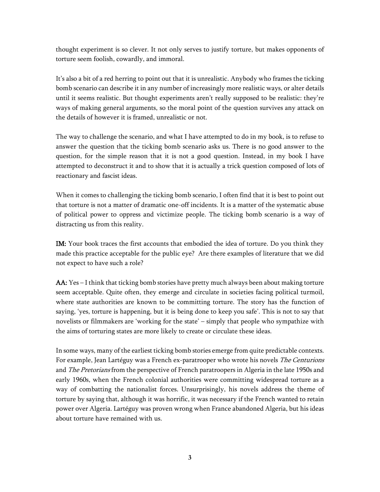thought experiment is so clever. It not only serves to justify torture, but makes opponents of torture seem foolish, cowardly, and immoral.

It's also a bit of a red herring to point out that it is unrealistic. Anybody who frames the ticking bomb scenario can describe it in any number of increasingly more realistic ways, or alter details until it seems realistic. But thought experiments aren't really supposed to be realistic: they're ways of making general arguments, so the moral point of the question survives any attack on the details of however it is framed, unrealistic or not.

The way to challenge the scenario, and what I have attempted to do in my book, is to refuse to answer the question that the ticking bomb scenario asks us. There is no good answer to the question, for the simple reason that it is not a good question. Instead, in my book I have attempted to deconstruct it and to show that it is actually a trick question composed of lots of reactionary and fascist ideas.

When it comes to challenging the ticking bomb scenario, I often find that it is best to point out that torture is not a matter of dramatic one-off incidents. It is a matter of the systematic abuse of political power to oppress and victimize people. The ticking bomb scenario is a way of distracting us from this reality.

IM: Your book traces the first accounts that embodied the idea of torture. Do you think they made this practice acceptable for the public eye? Are there examples of literature that we did not expect to have such a role?

 $AA: Yes - I think that ticking bomb stories have pretty much always been about making torture$ seem acceptable. Quite often, they emerge and circulate in societies facing political turmoil, where state authorities are known to be committing torture. The story has the function of saying, 'yes, torture is happening, but it is being done to keep you safe'. This is not to say that novelists or filmmakers are 'working for the state' – simply that people who sympathize with the aims of torturing states are more likely to create or circulate these ideas.

In some ways, many of the earliest ticking bomb stories emerge from quite predictable contexts. For example, Jean Lartéguy was a French ex-paratrooper who wrote his novels *The Centurions* and *The Pretorians* from the perspective of French paratroopers in Algeria in the late 1950s and early 1960s, when the French colonial authorities were committing widespread torture as a way of combatting the nationalist forces. Unsurprisingly, his novels address the theme of torture by saying that, although it was horrific, it was necessary if the French wanted to retain power over Algeria. Lartéguy was proven wrong when France abandoned Algeria, but his ideas about torture have remained with us.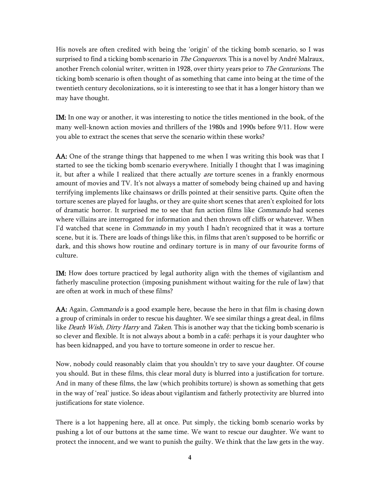His novels are often credited with being the 'origin' of the ticking bomb scenario, so I was surprised to find a ticking bomb scenario in The Conquerors. This is a novel by André Malraux, another French colonial writer, written in 1928, over thirty years prior to *The Centurions*. The ticking bomb scenario is often thought of as something that came into being at the time of the twentieth century decolonizations, so it is interesting to see that it has a longer history than we may have thought.

IM: In one way or another, it was interesting to notice the titles mentioned in the book, of the many well-known action movies and thrillers of the 1980s and 1990s before 9/11. How were you able to extract the scenes that serve the scenario within these works?

AA: One of the strange things that happened to me when I was writing this book was that I started to see the ticking bomb scenario everywhere. Initially I thought that I was imagining it, but after a while I realized that there actually *are* torture scenes in a frankly enormous amount of movies and TV. It's not always a matter of somebody being chained up and having terrifying implements like chainsaws or drills pointed at their sensitive parts. Quite often the torture scenes are played for laughs, or they are quite short scenes that aren't exploited for lots of dramatic horror. It surprised me to see that fun action films like *Commando* had scenes where villains are interrogated for information and then thrown off cliffs or whatever. When I'd watched that scene in *Commando* in my youth I hadn't recognized that it was a torture scene, but it is. There are loads of things like this, in films that aren't supposed to be horrific or dark, and this shows how routine and ordinary torture is in many of our favourite forms of culture.

IM: How does torture practiced by legal authority align with the themes of vigilantism and fatherly masculine protection (imposing punishment without waiting for the rule of law) that are often at work in much of these films?

AA: Again, *Commando* is a good example here, because the hero in that film is chasing down a group of criminals in order to rescue his daughter. We see similar things a great deal, in films like *Death Wish, Dirty Harry* and *Taken*. This is another way that the ticking bomb scenario is so clever and flexible. It is not always about a bomb in a café: perhaps it is your daughter who has been kidnapped, and you have to torture someone in order to rescue her.

Now, nobody could reasonably claim that you shouldn't try to save your daughter. Of course you should. But in these films, this clear moral duty is blurred into a justification for torture. And in many of these films, the law (which prohibits torture) is shown as something that gets in the way of 'real' justice. So ideas about vigilantism and fatherly protectivity are blurred into justifications for state violence.

There is a lot happening here, all at once. Put simply, the ticking bomb scenario works by pushing a lot of our buttons at the same time. We want to rescue our daughter. We want to protect the innocent, and we want to punish the guilty. We think that the law gets in the way.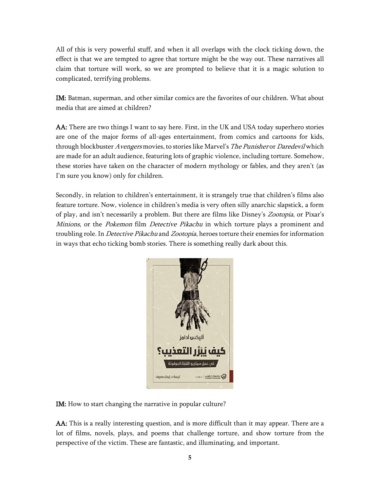All of this is very powerful stuff, and when it all overlaps with the clock ticking down, the effect is that we are tempted to agree that torture might be the way out. These narratives all claim that torture will work, so we are prompted to believe that it is a magic solution to complicated, terrifying problems.

IM: Batman, superman, and other similar comics are the favorites of our children. What about media that are aimed at children?

AA: There are two things I want to say here. First, in the UK and USA today superhero stories are one of the major forms of all-ages entertainment, from comics and cartoons for kids, through blockbuster Avengers movies, to stories like Marvel's The Punisher or Daredevil which are made for an adult audience, featuring lots of graphic violence, including torture. Somehow, these stories have taken on the character of modern mythology or fables, and they aren't (as I'm sure you know) only for children.

Secondly, in relation to children's entertainment, it is strangely true that children's films also feature torture. Now, violence in children's media is very often silly anarchic slapstick, a form of play, and isn't necessarily a problem. But there are films like Disney's Zootopia, or Pixar's Minions, or the Pokemon film Detective Pikachu in which torture plays a prominent and troubling role. In *Detective Pikachu* and *Zootopia*, heroes torture their enemies for information in ways that echo ticking bomb stories. There is something really dark about this.



IM: How to start changing the narrative in popular culture?

AA: This is a really interesting question, and is more difficult than it may appear. There are a lot of films, novels, plays, and poems that challenge torture, and show torture from the perspective of the victim. These are fantastic, and illuminating, and important.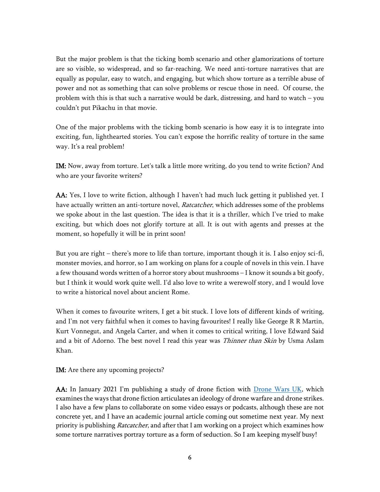But the major problem is that the ticking bomb scenario and other glamorizations of torture are so visible, so widespread, and so far-reaching. We need anti-torture narratives that are equally as popular, easy to watch, and engaging, but which show torture as a terrible abuse of power and not as something that can solve problems or rescue those in need. Of course, the problem with this is that such a narrative would be dark, distressing, and hard to watch – you couldn't put Pikachu in that movie.

One of the major problems with the ticking bomb scenario is how easy it is to integrate into exciting, fun, lighthearted stories. You can't expose the horrific reality of torture in the same way. It's a real problem!

IM: Now, away from torture. Let's talk a little more writing, do you tend to write fiction? And who are your favorite writers?

AA: Yes, I love to write fiction, although I haven't had much luck getting it published yet. I have actually written an anti-torture novel, Ratcatcher, which addresses some of the problems we spoke about in the last question. The idea is that it is a thriller, which I've tried to make exciting, but which does not glorify torture at all. It is out with agents and presses at the moment, so hopefully it will be in print soon!

But you are right – there's more to life than torture, important though it is. I also enjoy sci-fi, monster movies, and horror, so I am working on plans for a couple of novels in this vein. I have a few thousand words written of a horror story about mushrooms – I know it sounds a bit goofy, but I think it would work quite well. I'd also love to write a werewolf story, and I would love to write a historical novel about ancient Rome.

When it comes to favourite writers, I get a bit stuck. I love lots of different kinds of writing, and I'm not very faithful when it comes to having favourites! I really like George R R Martin, Kurt Vonnegut, and Angela Carter, and when it comes to critical writing, I love Edward Said and a bit of Adorno. The best novel I read this year was *Thinner than Skin* by Usma Aslam Khan.

IM: Are there any upcoming projects?

AA: In January 2021 I'm publishing a study of drone fiction with [Drone Wars UK,](https://dronewars.net/) which examines the ways that drone fiction articulates an ideology of drone warfare and drone strikes. I also have a few plans to collaborate on some video essays or podcasts, although these are not concrete yet, and I have an academic journal article coming out sometime next year. My next priority is publishing *Ratcatcher*, and after that I am working on a project which examines how some torture narratives portray torture as a form of seduction. So I am keeping myself busy!